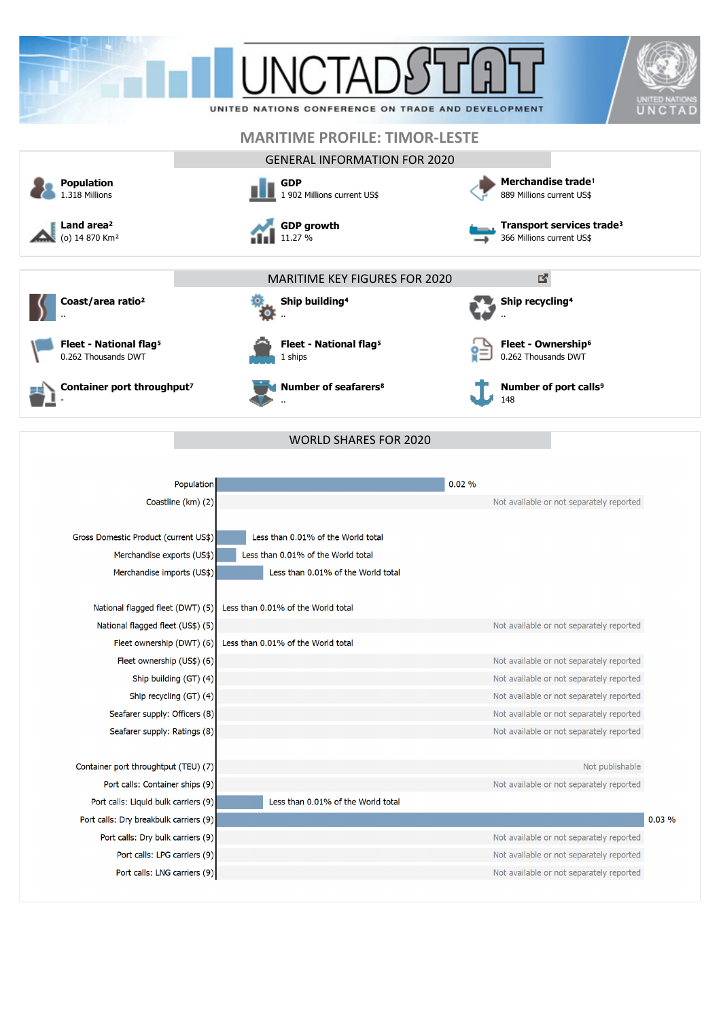| <b>Population</b><br>1.318 Millions<br>Land area <sup>2</sup><br>(o) 14 870 Km <sup>2</sup>                                                                                         | UNITED NATIONS CONFERENCE ON TRADE AND DEVELOPMENT<br><b>MARITIME PROFILE: TIMOR-LESTE</b><br><b>GENERAL INFORMATION FOR 2020</b><br><b>GDP</b><br>1 902 Millions current US\$<br><b>GDP growth</b><br>11.27 % | <b>UNITED NATIO</b><br>Merchandise trade <sup>1</sup><br>889 Millions current US\$<br>Transport services trade <sup>3</sup><br>366 Millions current US\$                     |
|-------------------------------------------------------------------------------------------------------------------------------------------------------------------------------------|----------------------------------------------------------------------------------------------------------------------------------------------------------------------------------------------------------------|------------------------------------------------------------------------------------------------------------------------------------------------------------------------------|
| Coast/area ratio <sup>2</sup>                                                                                                                                                       | <b>MARITIME KEY FIGURES FOR 2020</b><br>Ship building <sup>4</sup>                                                                                                                                             | 國<br>Ship recycling <sup>4</sup>                                                                                                                                             |
| Fleet - National flag <sup>5</sup><br>0.262 Thousands DWT                                                                                                                           | Fleet - National flag <sup>5</sup><br>1 ships                                                                                                                                                                  | Fleet - Ownership <sup>6</sup><br>0.262 Thousands DWT                                                                                                                        |
| Container port throughput <sup>7</sup>                                                                                                                                              | <b>Number of seafarers<sup>8</sup></b>                                                                                                                                                                         | Number of port calls <sup>9</sup><br>148                                                                                                                                     |
| Population<br>Coastline (km) (2)                                                                                                                                                    |                                                                                                                                                                                                                | 0.02%<br>Not available or not separately reported                                                                                                                            |
| Gross Domestic Product (current US\$)<br>Merchandise exports (US\$)<br>Merchandise imports (US\$)                                                                                   | Less than 0.01% of the World total<br>Less than 0.01% of the World total<br>Less than 0.01% of the World total                                                                                                 |                                                                                                                                                                              |
| National flagged fleet (DWT) (5)<br>National flagged fleet (US\$) (5)<br>Fleet ownership (DWT) (6)                                                                                  | Less than 0.01% of the World total<br>Less than 0.01% of the World total                                                                                                                                       | Not available or not separately reported                                                                                                                                     |
| Fleet ownership (US\$) (6)<br>Ship building (GT) (4)<br>Ship recycling (GT) (4)<br>Seafarer supply: Officers (8)                                                                    |                                                                                                                                                                                                                | Not available or not separately reported<br>Not available or not separately reported<br>Not available or not separately reported<br>Not available or not separately reported |
| Seafarer supply: Ratings (8)<br>Container port throughtput (TEU) (7)<br>Port calls: Container ships (9)                                                                             |                                                                                                                                                                                                                | Not available or not separately reported<br>Not publishable<br>Not available or not separately reported                                                                      |
| Port calls: Liquid bulk carriers (9)<br>Port calls: Dry breakbulk carriers (9)<br>Port calls: Dry bulk carriers (9)<br>Port calls: LPG carriers (9)<br>Port calls: LNG carriers (9) | Less than 0.01% of the World total                                                                                                                                                                             | 0.03%<br>Not available or not separately reported<br>Not available or not separately reported<br>Not available or not separately reported                                    |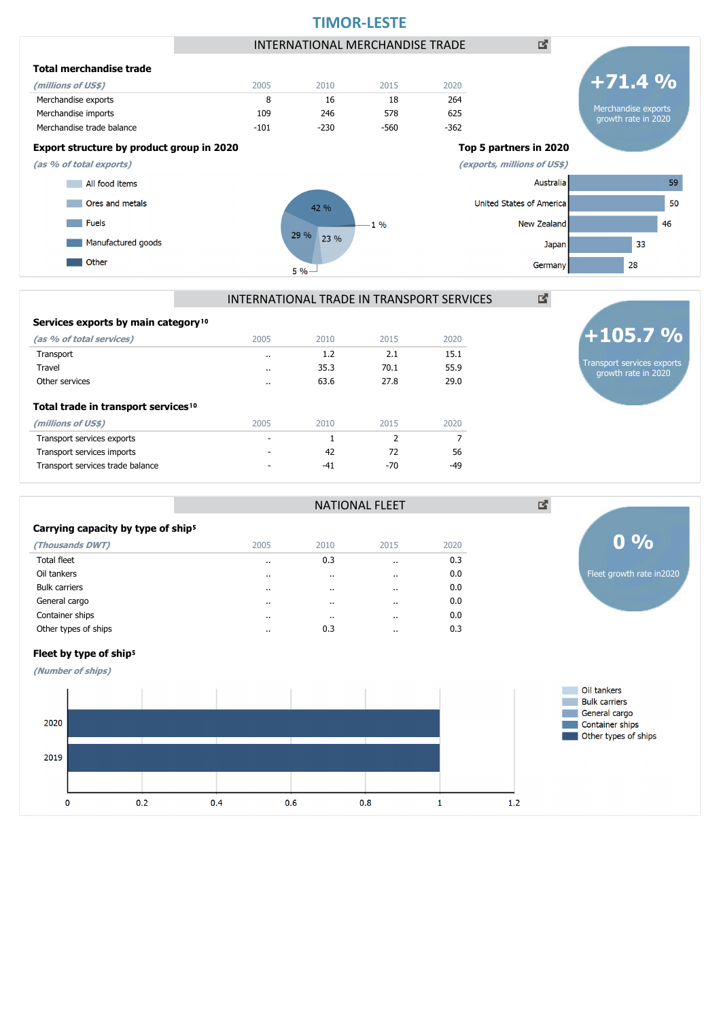

| Services exports by main category <sup>10</sup> |           |       |       |       |
|-------------------------------------------------|-----------|-------|-------|-------|
| (as % of total services)                        | 2005      | 2010  | 2015  | 2020  |
| Transport                                       | $\cdot$ . | 1.2   | 2.1   | 15.1  |
| Travel                                          | $\cdot$ . | 35.3  | 70.1  | 55.9  |
| Other services                                  | $\cdot$ . | 63.6  | 27.8  | 29.0  |
| Total trade in transport services <sup>10</sup> |           |       |       |       |
| (millions of US\$)                              | 2005      | 2010  | 2015  | 2020  |
| Transport services exports                      | ٠         | 1     | 2     | 7     |
| Transport services imports                      |           | 42    | 72    | 56    |
| Transport services trade balance                |           | $-41$ | $-70$ | $-49$ |

| Carrying capacity by type of ship <sup>5</sup> |
|------------------------------------------------|
|                                                |

| (Thousands DWT)      | 2005      | 2010      | 2015      | 2020 |
|----------------------|-----------|-----------|-----------|------|
| Total fleet          | $\cdot$ . | 0.3       | $\cdot$ . | 0.3  |
| Oil tankers          | $\cdots$  | $\cdot$ . | $\cdot$   | 0.0  |
| <b>Bulk carriers</b> | $\cdots$  |           | $\cdot$   | 0.0  |
| General cargo        | $\cdot$   | $\cdot$ . | $\cdot$   | 0.0  |
| Container ships      | $\cdot$   | $\cdot$ . | $\cdot$   | 0.0  |
| Other types of ships | $\cdot$ . | 0.3       | $\cdot$   | 0.3  |
|                      |           |           |           |      |



Fleet growth rate in2020

**0 %**

図



**(Number of ships)**



NATIONAL FLEET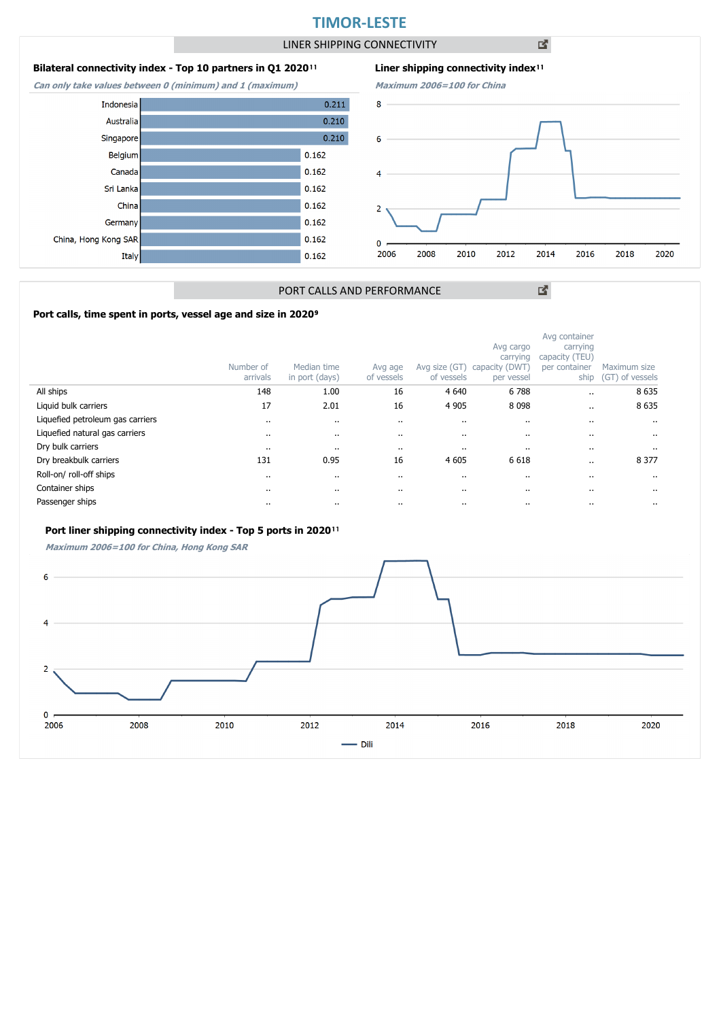## **TIMOR-LESTE**

LINER SHIPPING CONNECTIVITY

凶

### **Bilateral connectivity index - Top 10 partners in Q1 2020**<sup>11</sup>

**Can only take values between 0 (minimum) and 1 (maximum)**





図

### PORT CALLS AND PERFORMANCE

### Port calls, time spent in ports, vessel age and size in 2020<sup>9</sup>

|                                  | Number of<br>arrivals | Median time<br>in port (days) | Avg age<br>of vessels | Avg size (GT)<br>of vessels | Avg cargo<br>carrying<br>capacity (DWT)<br>per vessel | Avg container<br>carrying<br>capacity (TEU)<br>per container<br>ship | Maximum size<br>(GT) of vessels |
|----------------------------------|-----------------------|-------------------------------|-----------------------|-----------------------------|-------------------------------------------------------|----------------------------------------------------------------------|---------------------------------|
| All ships                        | 148                   | 1.00                          | 16                    | 4 6 4 0                     | 6788                                                  |                                                                      | 8 6 3 5                         |
| Liquid bulk carriers             | 17                    | 2.01                          | 16                    | 4 9 0 5                     | 8 0 9 8                                               |                                                                      | 8 6 3 5                         |
| Liquefied petroleum gas carriers | $\cdot$               | $\cdots$                      | $\cdots$              | $\cdots$                    | $\cdots$                                              |                                                                      | $\cdot$                         |
| Liquefied natural gas carriers   |                       | $\cdots$                      |                       | $\cdot$                     | $\cdot$                                               |                                                                      | $\cdot$                         |
| Dry bulk carriers                | $\cdots$              |                               | $\cdots$              | $\cdots$                    | $\cdots$                                              |                                                                      |                                 |
| Dry breakbulk carriers           | 131                   | 0.95                          | 16                    | 4 6 0 5                     | 6 6 18                                                |                                                                      | 8 3 7 7                         |
| Roll-on/ roll-off ships          |                       | $\cdots$                      |                       | $\cdots$                    | $\cdots$                                              |                                                                      | $\cdot$                         |
| Container ships                  |                       |                               |                       | $\cdots$                    | $\cdots$                                              |                                                                      |                                 |
| Passenger ships                  |                       |                               |                       | $\cdots$                    | $\cdots$                                              |                                                                      |                                 |

### Port liner shipping connectivity index - Top 5 ports in 2020<sup>11</sup>

**Maximum 2006=100 for China, Hong Kong SAR**